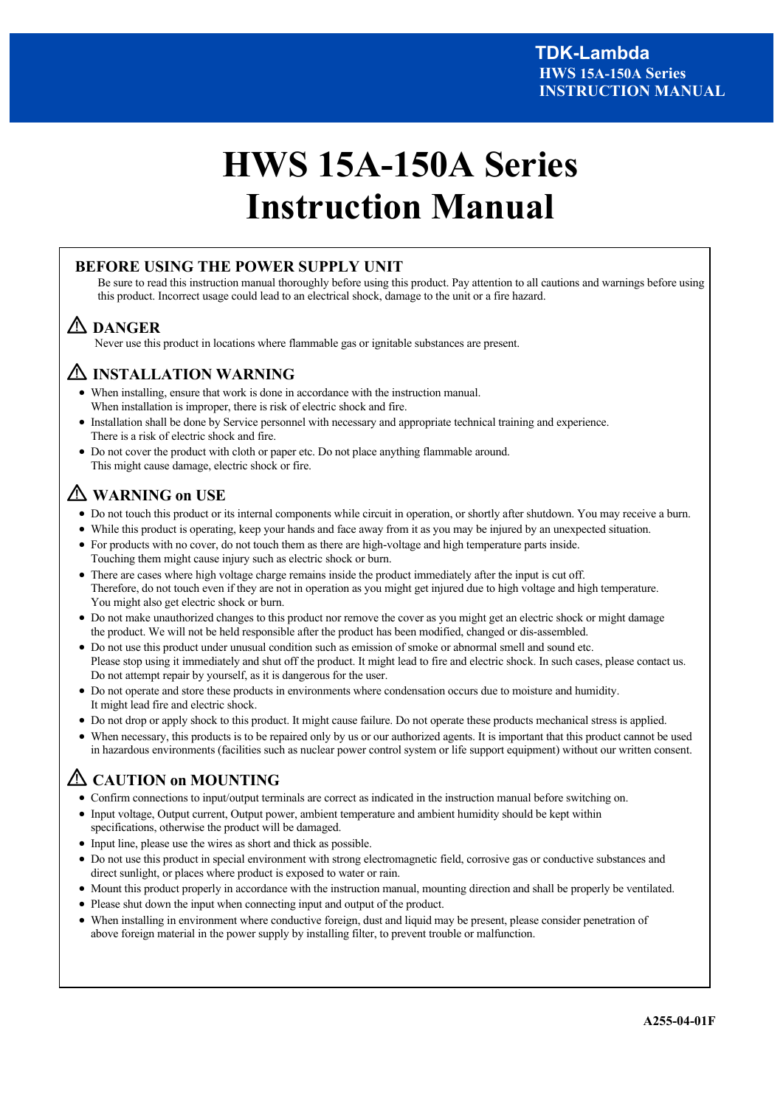# **HWS 15A-150A Series Instruction Manual**

# **BEFORE USING THE POWER SUPPLY UNIT**

Be sure to read this instruction manual thoroughly before using this product. Pay attention to all cautions and warnings before using this product. Incorrect usage could lead to an electrical shock, damage to the unit or a fire hazard.

# **DANGER**

Never use this product in locations where flammable gas or ignitable substances are present.

# **INSTALLATION WARNING**

- When installing, ensure that work is done in accordance with the instruction manual. When installation is improper, there is risk of electric shock and fire.
- Installation shall be done by Service personnel with necessary and appropriate technical training and experience. There is a risk of electric shock and fire.
- Do not cover the product with cloth or paper etc. Do not place anything flammable around. This might cause damage, electric shock or fire.

# **WARNING on USE**

- Do not touch this product or its internal components while circuit in operation, or shortly after shutdown. You may receive a burn.
- While this product is operating, keep your hands and face away from it as you may be injured by an unexpected situation.
- For products with no cover, do not touch them as there are high-voltage and high temperature parts inside.
- Touching them might cause injury such as electric shock or burn.
- There are cases where high voltage charge remains inside the product immediately after the input is cut off. Therefore, do not touch even if they are not in operation as you might get injured due to high voltage and high temperature. You might also get electric shock or burn.
- Do not make unauthorized changes to this product nor remove the cover as you might get an electric shock or might damage the product. We will not be held responsible after the product has been modified, changed or dis-assembled.
- Do not use this product under unusual condition such as emission of smoke or abnormal smell and sound etc. Please stop using it immediately and shut off the product. It might lead to fire and electric shock. In such cases, please contact us. Do not attempt repair by yourself, as it is dangerous for the user.
- Do not operate and store these products in environments where condensation occurs due to moisture and humidity. It might lead fire and electric shock.
- Do not drop or apply shock to this product. It might cause failure. Do not operate these products mechanical stress is applied.
- When necessary, this products is to be repaired only by us or our authorized agents. It is important that this product cannot be used in hazardous environments (facilities such as nuclear power control system or life support equipment) without our written consent.

# **CAUTION on MOUNTING**

- Confirm connections to input/output terminals are correct as indicated in the instruction manual before switching on.
- Input voltage, Output current, Output power, ambient temperature and ambient humidity should be kept within specifications, otherwise the product will be damaged.
- Input line, please use the wires as short and thick as possible.
- Do not use this product in special environment with strong electromagnetic field, corrosive gas or conductive substances and direct sunlight, or places where product is exposed to water or rain.
- Mount this product properly in accordance with the instruction manual, mounting direction and shall be properly be ventilated.
- Please shut down the input when connecting input and output of the product.
- When installing in environment where conductive foreign, dust and liquid may be present, please consider penetration of above foreign material in the power supply by installing filter, to prevent trouble or malfunction.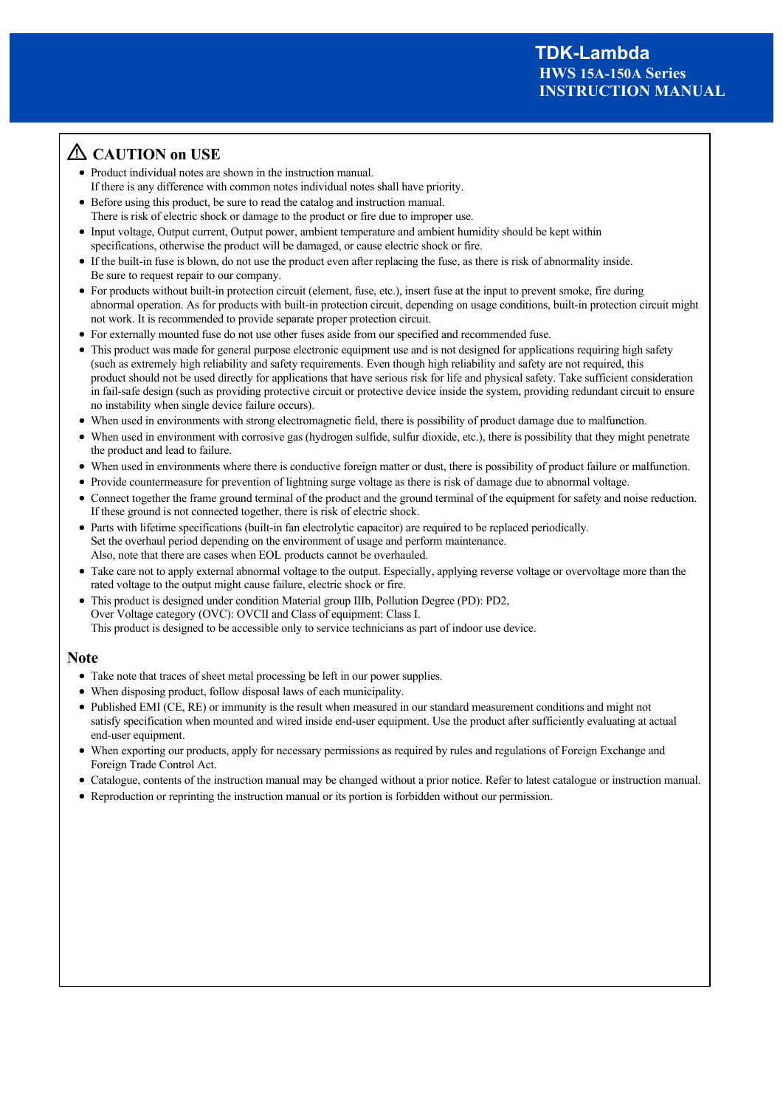# **CAUTION on USE**

- Product individual notes are shown in the instruction manual. If there is any difference with common notes individual notes shall have priority.
- Before using this product, be sure to read the catalog and instruction manual.
- There is risk of electric shock or damage to the product or fire due to improper use. Input voltage, Output current, Output power, ambient temperature and ambient humidity should be kept within specifications, otherwise the product will be damaged, or cause electric shock or fire.
- If the built-in fuse is blown, do not use the product even after replacing the fuse, as there is risk of abnormality inside. Be sure to request repair to our company.
- For products without built-in protection circuit (element, fuse, etc.), insert fuse at the input to prevent smoke, fire during abnormal operation. As for products with built-in protection circuit, depending on usage conditions, built-in protection circuit might not work. It is recommended to provide separate proper protection circuit.
- For externally mounted fuse do not use other fuses aside from our specified and recommended fuse.
- This product was made for general purpose electronic equipment use and is not designed for applications requiring high safety (such as extremely high reliability and safety requirements. Even though high reliability and safety are not required, this product should not be used directly for applications that have serious risk for life and physical safety. Take sufficient consideration in fail-safe design (such as providing protective circuit or protective device inside the system, providing redundant circuit to ensure no instability when single device failure occurs).
- When used in environments with strong electromagnetic field, there is possibility of product damage due to malfunction.
- When used in environment with corrosive gas (hydrogen sulfide, sulfur dioxide, etc.), there is possibility that they might penetrate the product and lead to failure.
- When used in environments where there is conductive foreign matter or dust, there is possibility of product failure or malfunction.
- Provide countermeasure for prevention of lightning surge voltage as there is risk of damage due to abnormal voltage.
- Connect together the frame ground terminal of the product and the ground terminal of the equipment for safety and noise reduction. If these ground is not connected together, there is risk of electric shock.
- Parts with lifetime specifications (built-in fan electrolytic capacitor) are required to be replaced periodically. Set the overhaul period depending on the environment of usage and perform maintenance. Also, note that there are cases when EOL products cannot be overhauled.
- Take care not to apply external abnormal voltage to the output. Especially, applying reverse voltage or overvoltage more than the rated voltage to the output might cause failure, electric shock or fire.
- This product is designed under condition Material group Ⅲb, Pollution Degree (PD): PD2, Over Voltage category (OVC): OVCⅡ and Class of equipment: Class Ⅰ. This product is designed to be accessible only to service technicians as part of indoor use device.

# **Note**

- Take note that traces of sheet metal processing be left in our power supplies.
- When disposing product, follow disposal laws of each municipality.
- Published EMI (CE, RE) or immunity is the result when measured in our standard measurement conditions and might not satisfy specification when mounted and wired inside end-user equipment. Use the product after sufficiently evaluating at actual end-user equipment.
- When exporting our products, apply for necessary permissions as required by rules and regulations of Foreign Exchange and Foreign Trade Control Act.
- Catalogue, contents of the instruction manual may be changed without a prior notice. Refer to latest catalogue or instruction manual.
- Reproduction or reprinting the instruction manual or its portion is forbidden without our permission.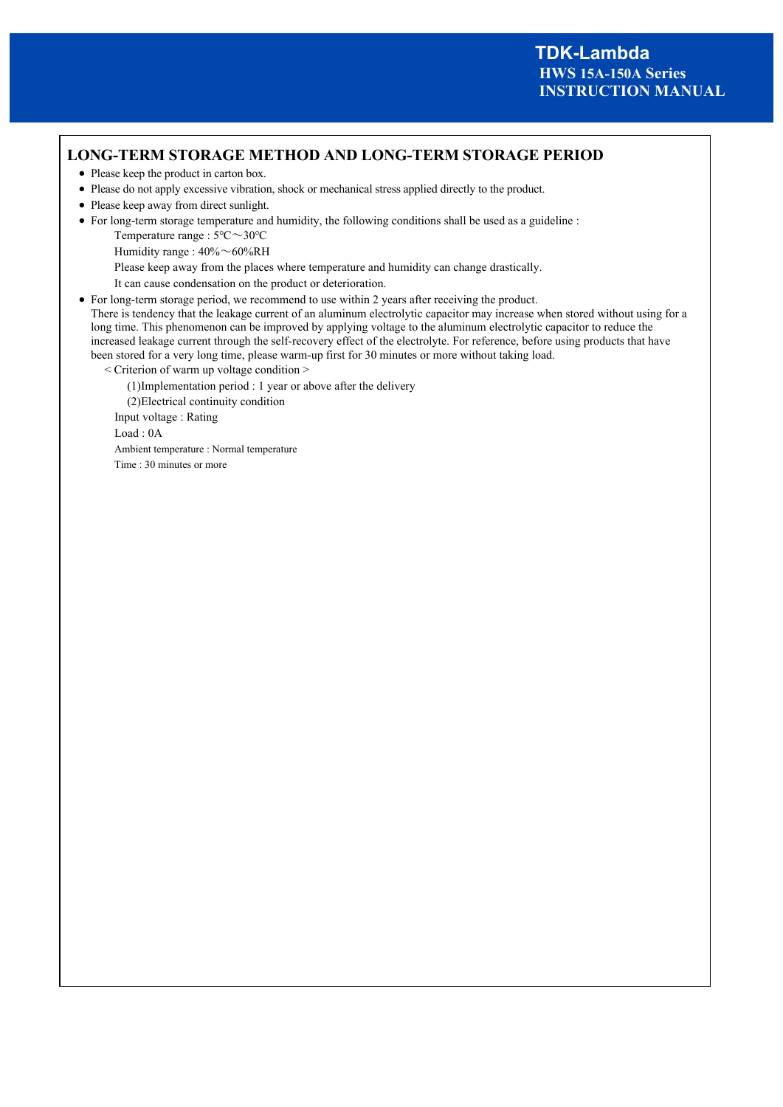# **LONG-TERM STORAGE METHOD AND LONG-TERM STORAGE PERIOD**

- Please keep the product in carton box.
- Please do not apply excessive vibration, shock or mechanical stress applied directly to the product.
- Please keep away from direct sunlight.
- For long-term storage temperature and humidity, the following conditions shall be used as a guideline :
	- Temperature range : 5℃~30℃
	- Humidity range : 40%~60%RH

Please keep away from the places where temperature and humidity can change drastically.

It can cause condensation on the product or deterioration.

For long-term storage period, we recommend to use within 2 years after receiving the product.

There is tendency that the leakage current of an aluminum electrolytic capacitor may increase when stored without using for a long time. This phenomenon can be improved by applying voltage to the aluminum electrolytic capacitor to reduce the increased leakage current through the self-recovery effect of the electrolyte. For reference, before using products that have been stored for a very long time, please warm-up first for 30 minutes or more without taking load.

< Criterion of warm up voltage condition >

(1)Implementation period : 1 year or above after the delivery

(2)Electrical continuity condition

Input voltage : Rating

Load : 0A

Ambient temperature : Normal temperature

Time : 30 minutes or more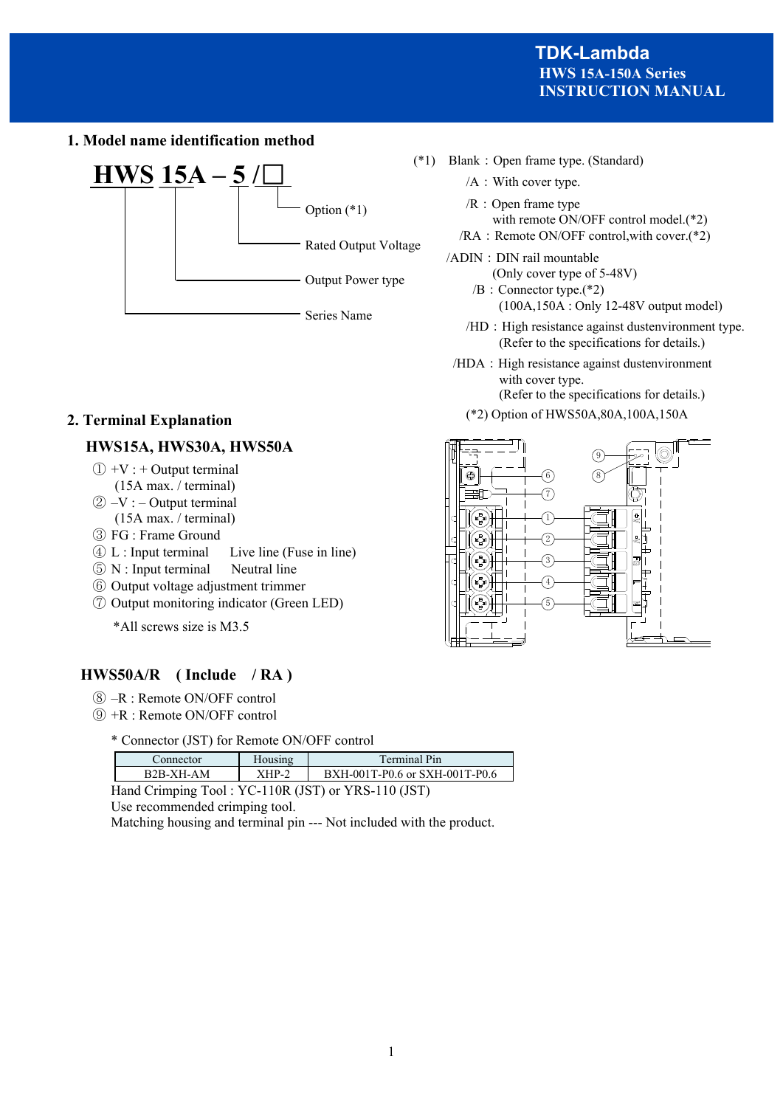**1. Model name identification method** 



# **2. Terminal Explanation**

# **HWS15A, HWS30A, HWS50A**

- $(1) +V$  : + Output terminal
	- (15A max. / terminal)
- $(2) -V$  : Output terminal (15A max. / terminal)
- ③ FG : Frame Ground
- ④ L : Input terminal Live line (Fuse in line)
- ⑤ N : Input terminal Neutral line
- ⑥ Output voltage adjustment trimmer
- ⑦ Output monitoring indicator (Green LED)

\*All screws size is M3.5

# **HWS50A/R ( Include / RA )**

- ⑧ –R : Remote ON/OFF control
- ⑨ +R : Remote ON/OFF control
	- \* Connector (JST) for Remote ON/OFF control

| . `onnector |       | Terminal Pin                   |
|-------------|-------|--------------------------------|
| $B2R-XH-AM$ | ∡HP-‴ | BXH-001T-P0.6 or SXH-001T-P0.6 |

Hand Crimping Tool : YC-110R (JST) or YRS-110 (JST)

Use recommended crimping tool.

Matching housing and terminal pin --- Not included with the product.



- /A: With cover type.
- /R:Open frame type with remote ON/OFF control model.(\*2)
- /RA : Remote ON/OFF control, with cover.(\*2)
- /ADIN: DIN rail mountable
	- (Only cover type of 5-48V) /B:Connector type.(\*2)
		- (100A,150A : Only 12-48V output model)
	- /HD: High resistance against dustenvironment type. (Refer to the specifications for details.)
- /HDA: High resistance against dustenvironment with cover type.
	- (Refer to the specifications for details.)
	- (\*2) Option of HWS50A,80A,100A,150A

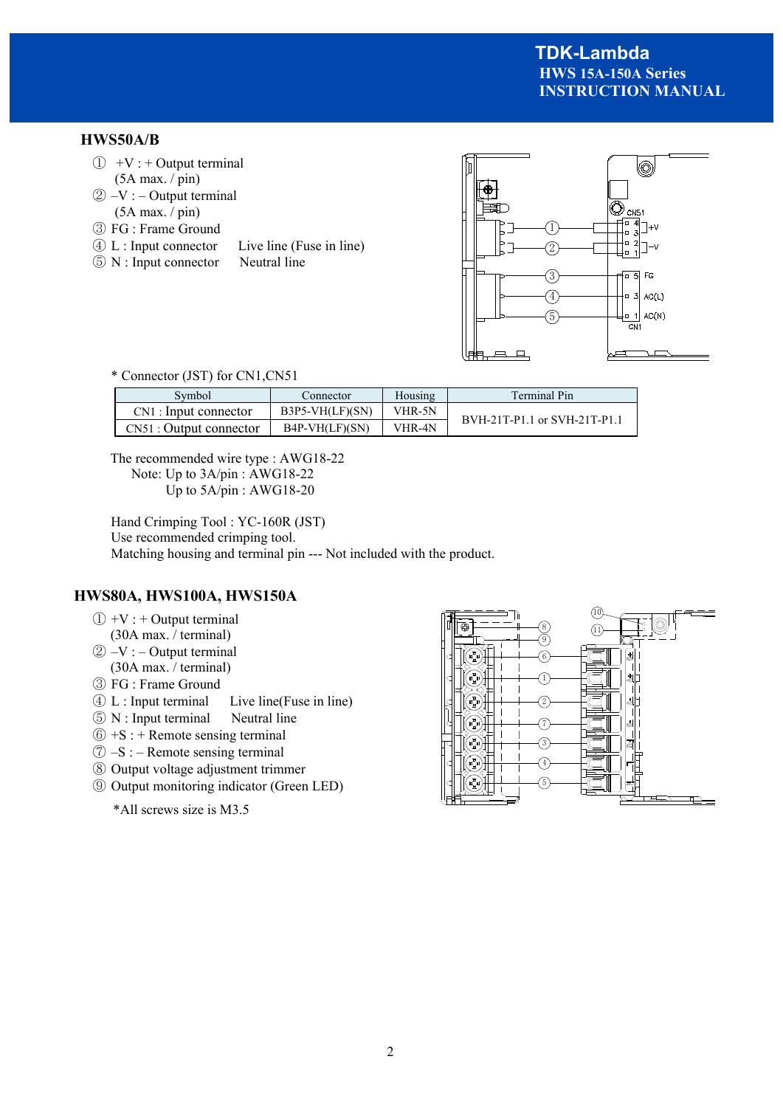# **HWS50A/B**

- $\textcircled{1}$  +V : + Output terminal (5A max. / pin)
- $(2) -V$  : Output terminal (5A max. / pin)
- ③ FG : Frame Ground
- ④ L : Input connector Live line (Fuse in line)
- ⑤ N : Input connector Neutral line



#### \* Connector (JST) for CN1,CN51

| Svmbol                   | Connector         | Housing | <b>Terminal Pin</b>          |  |
|--------------------------|-------------------|---------|------------------------------|--|
| $CN1:$ Input connector   | $B3P5-VH(LF)(SN)$ | VHR-5N  | BVH-21T-P1.1 or SVH-21T-P1.1 |  |
| $CN51:$ Output connector | $B4P-VH(LF)(SN)$  | VHR-4N  |                              |  |

The recommended wire type : AWG18-22 Note: Up to 3A/pin : AWG18-22 Up to 5A/pin : AWG18-20

Hand Crimping Tool : YC-160R (JST) Use recommended crimping tool. Matching housing and terminal pin --- Not included with the product.

# **HWS80A, HWS100A, HWS150A**

- $(1) +V$  : + Output terminal
- (30A max. / terminal)
- $\textcircled{2}$  –V : Output terminal (30A max. / terminal)
- ③ FG : Frame Ground
- ④ L : Input terminal Live line(Fuse in line)
- ⑤ N : Input terminal Neutral line
- $\circled{6}$  +S : + Remote sensing terminal
- $\circled{7}$  –S : Remote sensing terminal
- ⑧ Output voltage adjustment trimmer
- ⑨ Output monitoring indicator (Green LED)

\*All screws size is M3.5

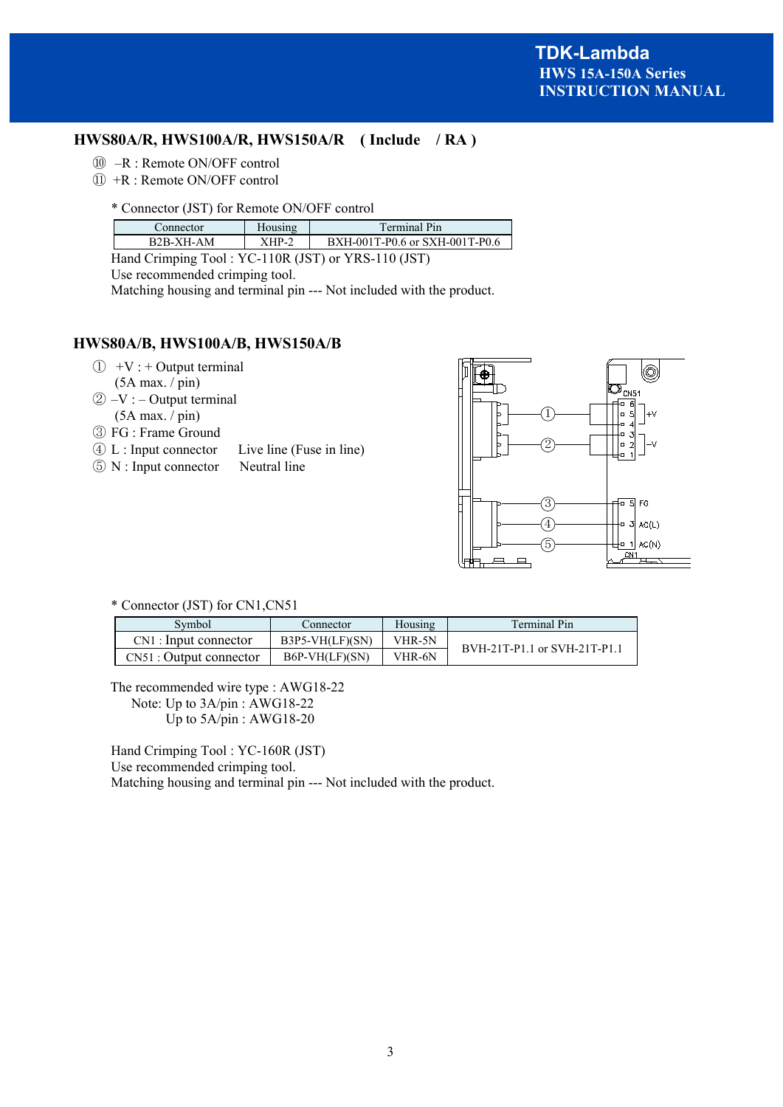# **HWS80A/R, HWS100A/R, HWS150A/R ( Include / RA )**

- ⑩ –R : Remote ON/OFF control
- ⑪ +R : Remote ON/OFF control
	- \* Connector (JST) for Remote ON/OFF control

| Connector   | <b>Housing</b> | <b>Terminal Pin</b>            |
|-------------|----------------|--------------------------------|
| $R2R-XH-AM$ | $XHP$ -        | BXH-001T-P0.6 or SXH-001T-P0.6 |

Hand Crimping Tool : YC-110R (JST) or YRS-110 (JST)

Use recommended crimping tool.

Matching housing and terminal pin --- Not included with the product.

# **HWS80A/B, HWS100A/B, HWS150A/B**

- $\textcircled{1}$  +V : + Output terminal (5A max. / pin)
- $(2) -V$  : Output terminal (5A max. / pin)
- ③ FG : Frame Ground
- ④ L : Input connector Live line (Fuse in line)
- ⑤ N : Input connector Neutral line



#### \* Connector (JST) for CN1,CN51

| Svmbol                   | Connector         | Housing | <b>Terminal Pin</b>          |
|--------------------------|-------------------|---------|------------------------------|
| $CN1:$ Input connector   | $B3P5-VH(LF)(SN)$ | VHR-5N  | BVH-21T-P1.1 or SVH-21T-P1.1 |
| $CN51:$ Output connector | $B6P-VH(LF)(SN)$  | VHR-6N  |                              |

The recommended wire type : AWG18-22 Note: Up to 3A/pin : AWG18-22 Up to 5A/pin : AWG18-20

Hand Crimping Tool : YC-160R (JST) Use recommended crimping tool. Matching housing and terminal pin --- Not included with the product.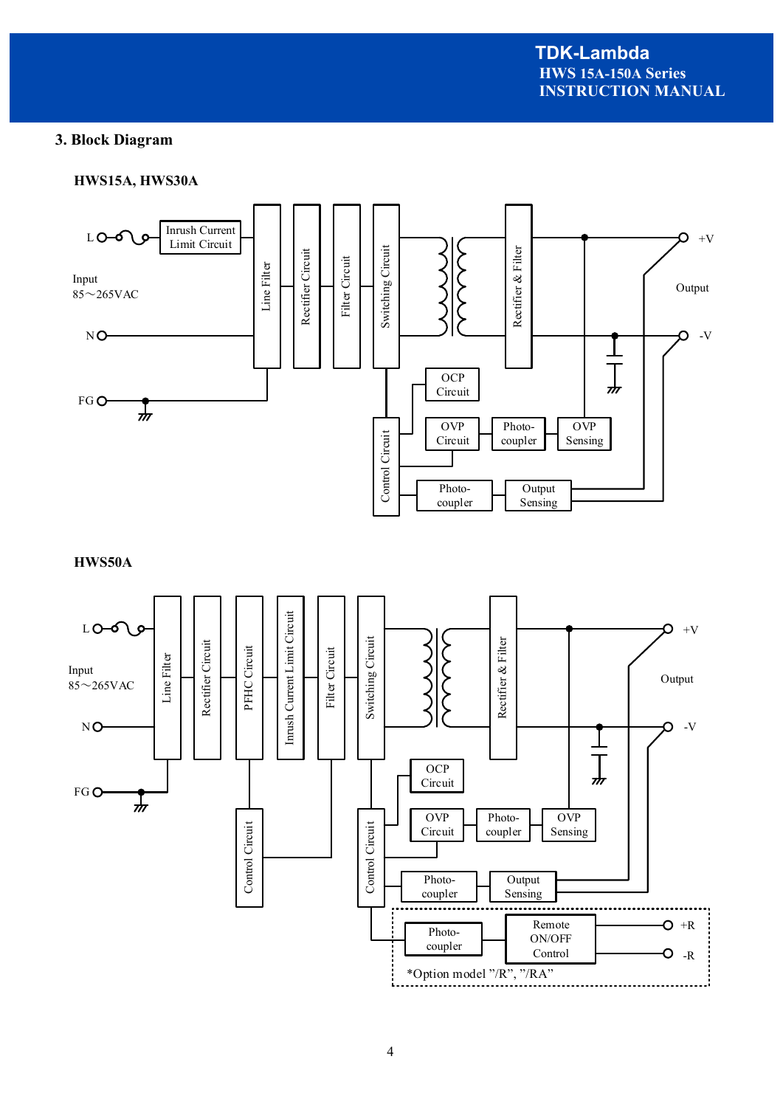# **3. Block Diagram**

#### **HWS15A, HWS30A**



**HWS50A**

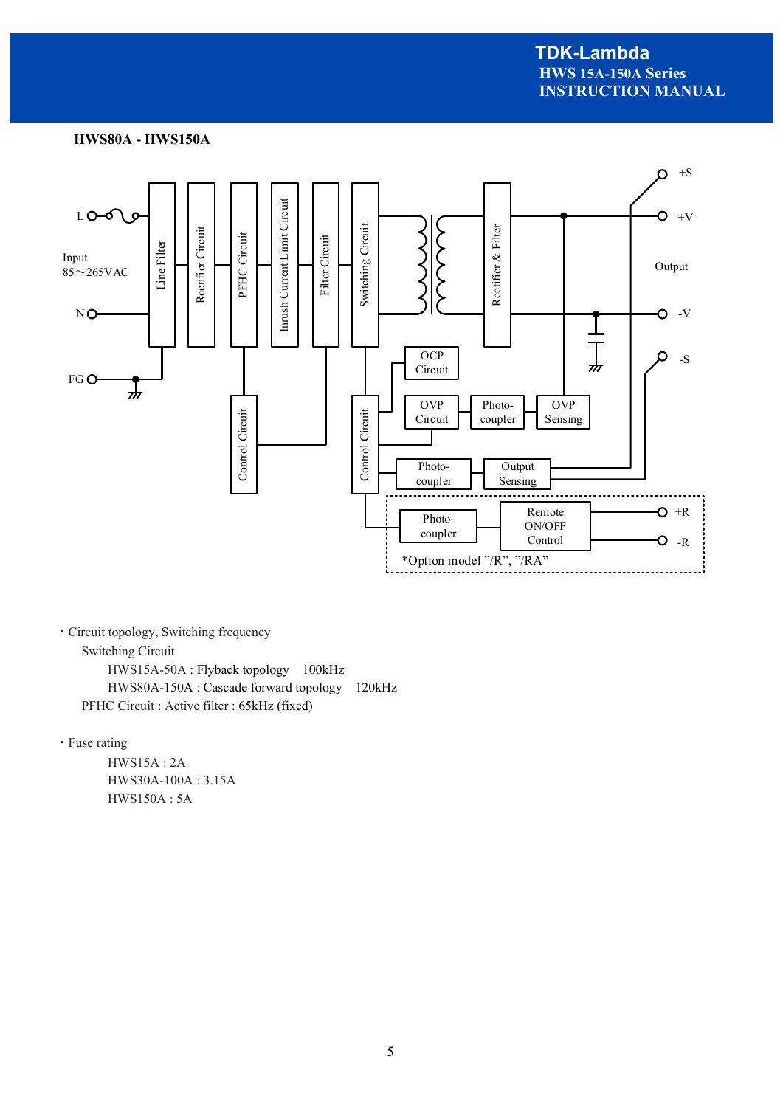#### **HWS80A - HWS150A**



・Circuit topology, Switching frequency Switching Circuit HWS15A-50A : Flyback topology 100kHz HWS80A-150A : Cascade forward topology 120kHz

PFHC Circuit : Active filter : 65kHz (fixed)

・Fuse rating

 HWS15A : 2A HWS30A-100A : 3.15A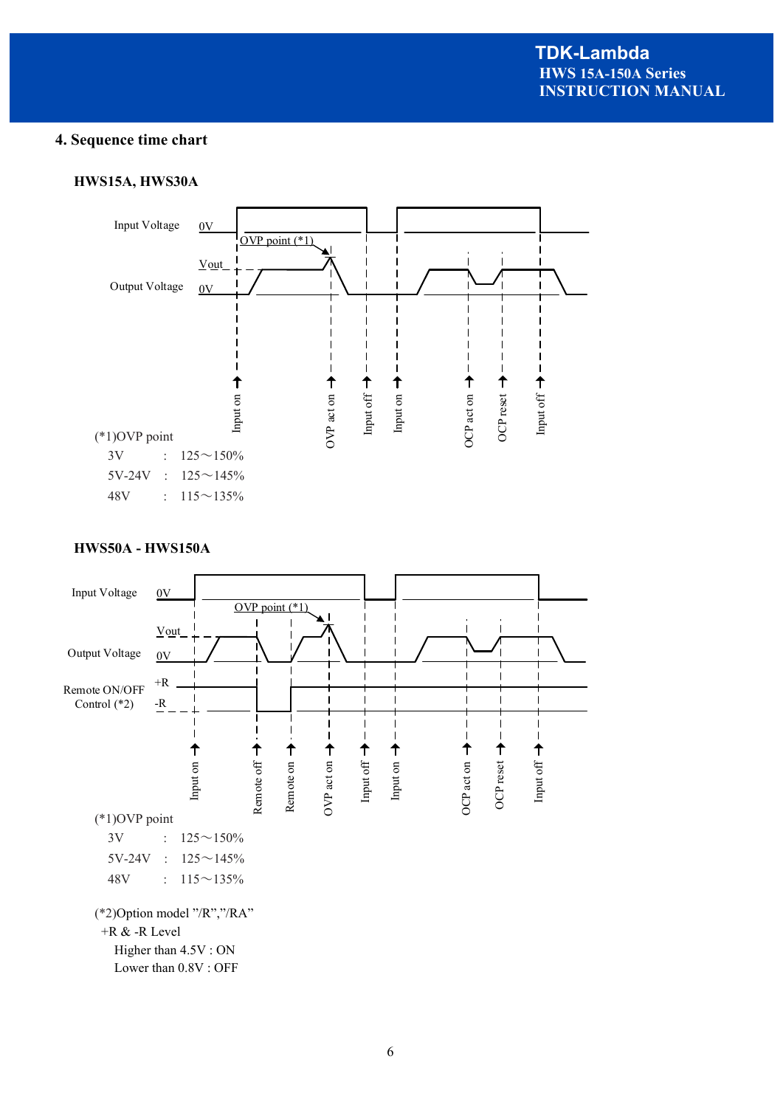# **4. Sequence time chart**

#### **HWS15A, HWS30A**



### **HWS50A - HWS150A**

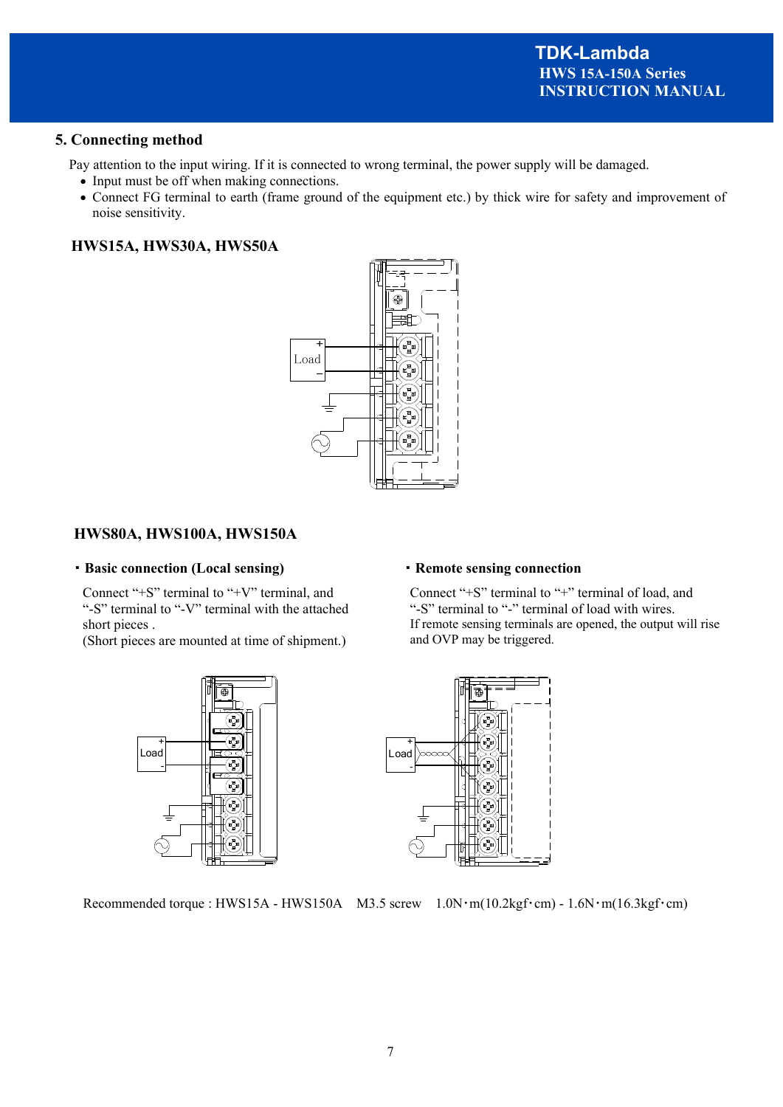#### **5. Connecting method**

Pay attention to the input wiring. If it is connected to wrong terminal, the power supply will be damaged.

- Input must be off when making connections.
- Connect FG terminal to earth (frame ground of the equipment etc.) by thick wire for safety and improvement of noise sensitivity.

### **HWS15A, HWS30A, HWS50A**



# **HWS80A, HWS100A, HWS150A**

#### ・**Basic connection (Local sensing)**

Connect "+S" terminal to "+V" terminal, and "-S" terminal to "-V" terminal with the attached short pieces .

(Short pieces are mounted at time of shipment.)



# ・**Remote sensing connection**

Connect "+S" terminal to "+" terminal of load, and "-S" terminal to "-" terminal of load with wires. If remote sensing terminals are opened, the output will rise and OVP may be triggered.



Recommended torque : HWS15A - HWS150A M3.5 screw 1.0N·m(10.2kgf·cm) - 1.6N·m(16.3kgf·cm)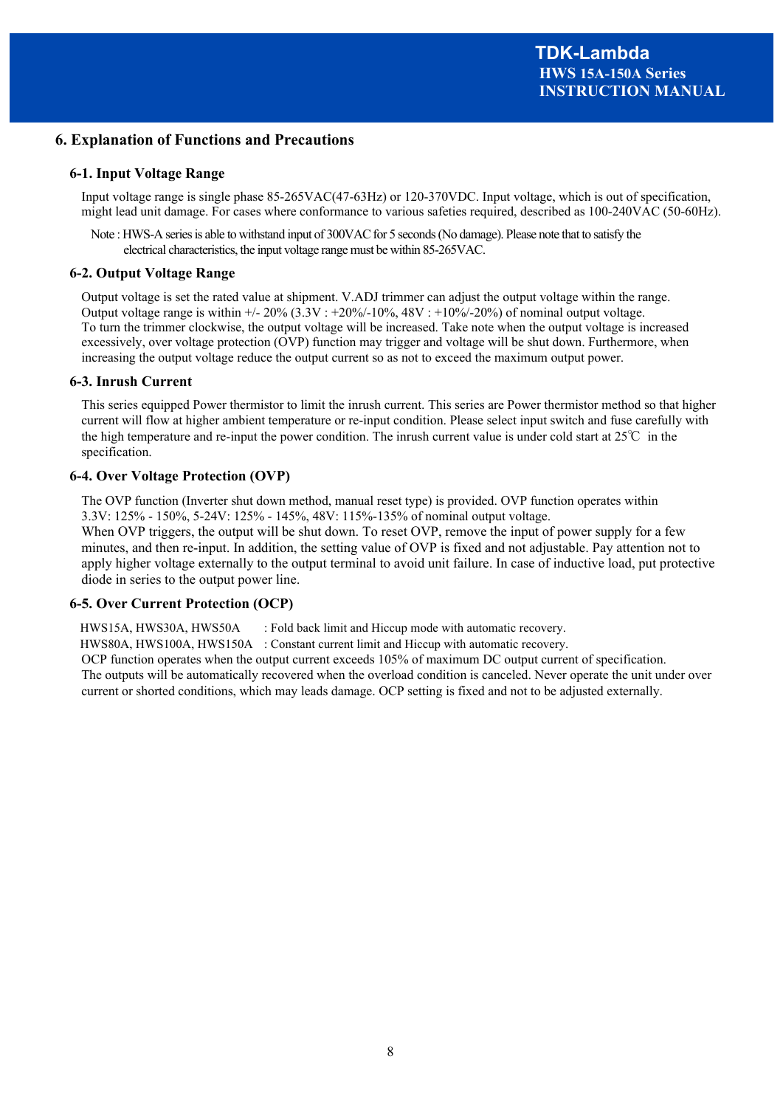#### **6. Explanation of Functions and Precautions**

#### **6-1. Input Voltage Range**

Input voltage range is single phase 85-265VAC(47-63Hz) or 120-370VDC. Input voltage, which is out of specification, might lead unit damage. For cases where conformance to various safeties required, described as 100-240VAC (50-60Hz).

Note : HWS-A series is able to withstand input of 300VAC for 5 seconds (No damage). Please note that to satisfy the electrical characteristics, the input voltage range must be within 85-265VAC.

#### **6-2. Output Voltage Range**

Output voltage is set the rated value at shipment. V.ADJ trimmer can adjust the output voltage within the range. Output voltage range is within  $\frac{+20\%}{3.3V}$ :  $\frac{+20\%}{10\%}$ , 48V :  $\frac{+10\%}{20\%}$  of nominal output voltage. To turn the trimmer clockwise, the output voltage will be increased. Take note when the output voltage is increased excessively, over voltage protection (OVP) function may trigger and voltage will be shut down. Furthermore, when increasing the output voltage reduce the output current so as not to exceed the maximum output power.

#### **6-3. Inrush Current**

This series equipped Power thermistor to limit the inrush current. This series are Power thermistor method so that higher current will flow at higher ambient temperature or re-input condition. Please select input switch and fuse carefully with the high temperature and re-input the power condition. The inrush current value is under cold start at  $25^{\circ}\text{C}$  in the specification.

#### **6-4. Over Voltage Protection (OVP)**

The OVP function (Inverter shut down method, manual reset type) is provided. OVP function operates within 3.3V: 125% - 150%, 5-24V: 125% - 145%, 48V: 115%-135% of nominal output voltage.

When OVP triggers, the output will be shut down. To reset OVP, remove the input of power supply for a few minutes, and then re-input. In addition, the setting value of OVP is fixed and not adjustable. Pay attention not to apply higher voltage externally to the output terminal to avoid unit failure. In case of inductive load, put protective diode in series to the output power line.

#### **6-5. Over Current Protection (OCP)**

HWS15A, HWS30A, HWS50A : Fold back limit and Hiccup mode with automatic recovery.

HWS80A, HWS100A, HWS150A : Constant current limit and Hiccup with automatic recovery.

OCP function operates when the output current exceeds 105% of maximum DC output current of specification. The outputs will be automatically recovered when the overload condition is canceled. Never operate the unit under over current or shorted conditions, which may leads damage. OCP setting is fixed and not to be adjusted externally.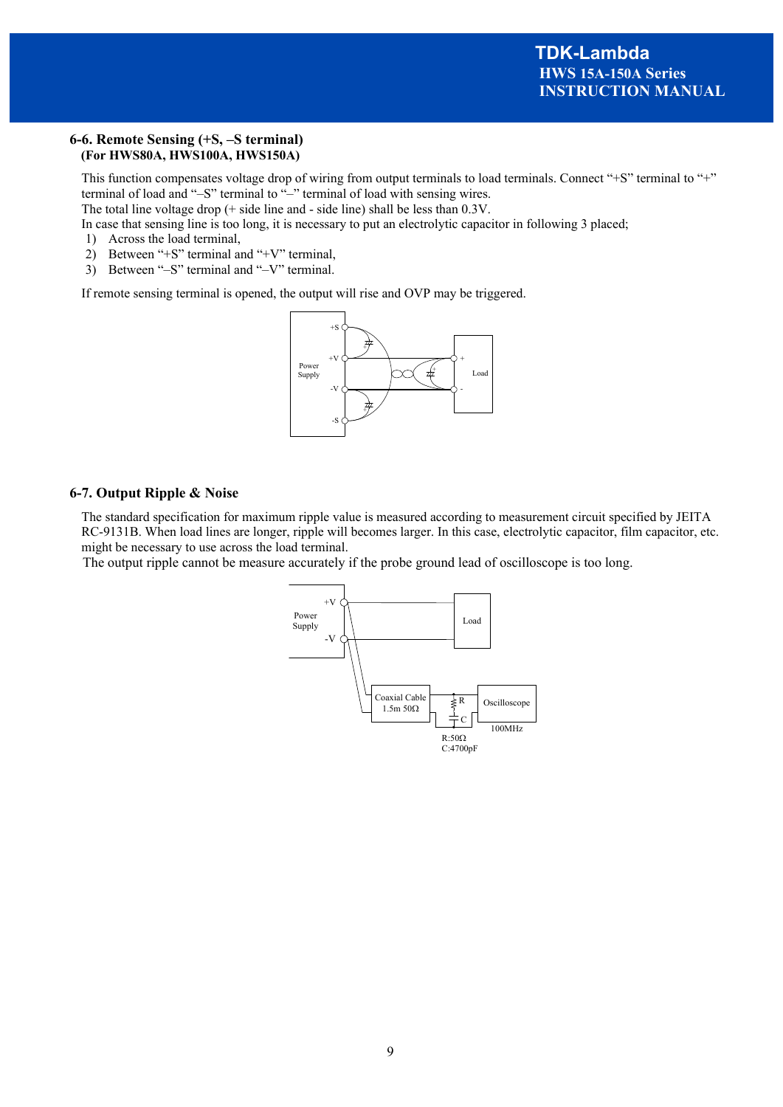#### **6-6. Remote Sensing (+S, –S terminal) (For HWS80A, HWS100A, HWS150A)**

This function compensates voltage drop of wiring from output terminals to load terminals. Connect "+S" terminal to "+" terminal of load and "–S" terminal to "–" terminal of load with sensing wires.

The total line voltage drop (+ side line and - side line) shall be less than 0.3V.

In case that sensing line is too long, it is necessary to put an electrolytic capacitor in following 3 placed;

1) Across the load terminal,

- 2) Between "+S" terminal and "+V" terminal,
- 3) Between "–S" terminal and "–V" terminal.

If remote sensing terminal is opened, the output will rise and OVP may be triggered.



#### **6-7. Output Ripple & Noise**

The standard specification for maximum ripple value is measured according to measurement circuit specified by JEITA RC-9131B. When load lines are longer, ripple will becomes larger. In this case, electrolytic capacitor, film capacitor, etc. might be necessary to use across the load terminal.

The output ripple cannot be measure accurately if the probe ground lead of oscilloscope is too long.

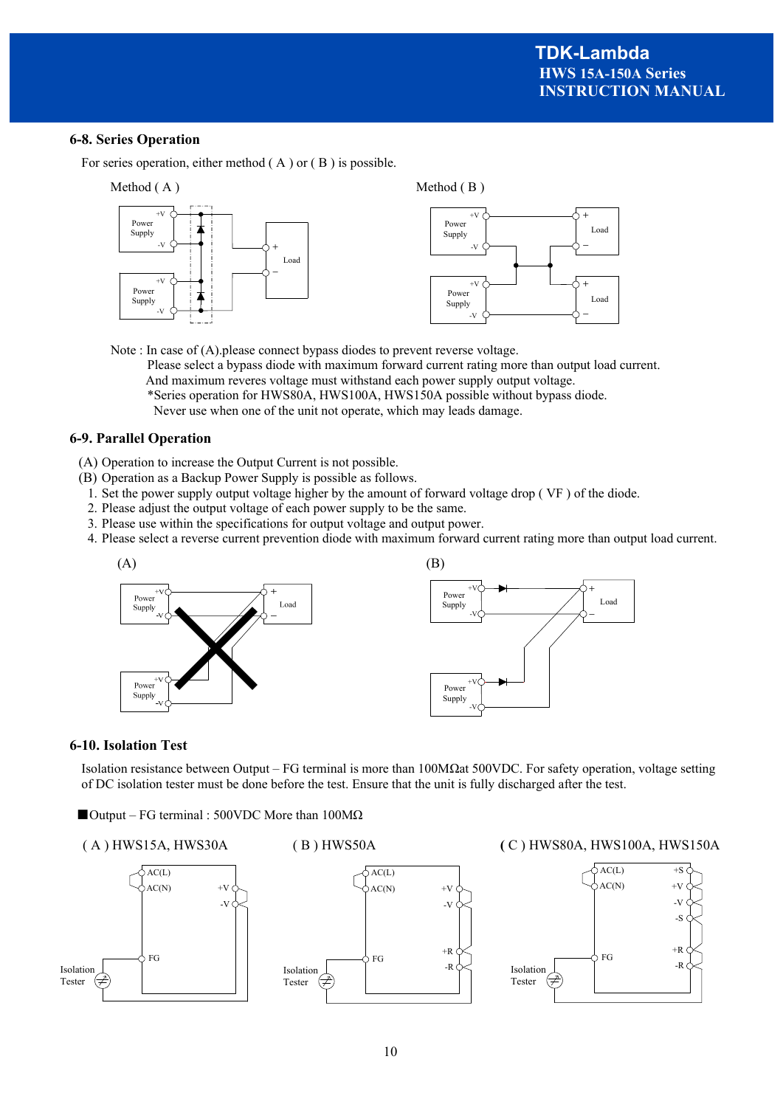+ -

#### **6-8. Series Operation**

For series operation, either method ( A ) or ( B ) is possible.

![](_page_12_Figure_3.jpeg)

 Note : In case of (A).please connect bypass diodes to prevent reverse voltage. Please select a bypass diode with maximum forward current rating more than output load current. And maximum reveres voltage must withstand each power supply output voltage. \*Series operation for HWS80A, HWS100A, HWS150A possible without bypass diode. Never use when one of the unit not operate, which may leads damage.

#### **6-9. Parallel Operation**

- (A) Operation to increase the Output Current is not possible.
- (B) Operation as a Backup Power Supply is possible as follows.
	- 1. Set the power supply output voltage higher by the amount of forward voltage drop ( VF ) of the diode.
	- 2. Please adjust the output voltage of each power supply to be the same.
	- 3. Please use within the specifications for output voltage and output power.
	- 4. Please select a reverse current prevention diode with maximum forward current rating more than output load current.

![](_page_12_Figure_12.jpeg)

#### **6-10. Isolation Test**

Isolation resistance between Output – FG terminal is more than 100MΩat 500VDC. For safety operation, voltage setting of DC isolation tester must be done before the test. Ensure that the unit is fully discharged after the test.

![](_page_12_Figure_15.jpeg)

![](_page_12_Figure_16.jpeg)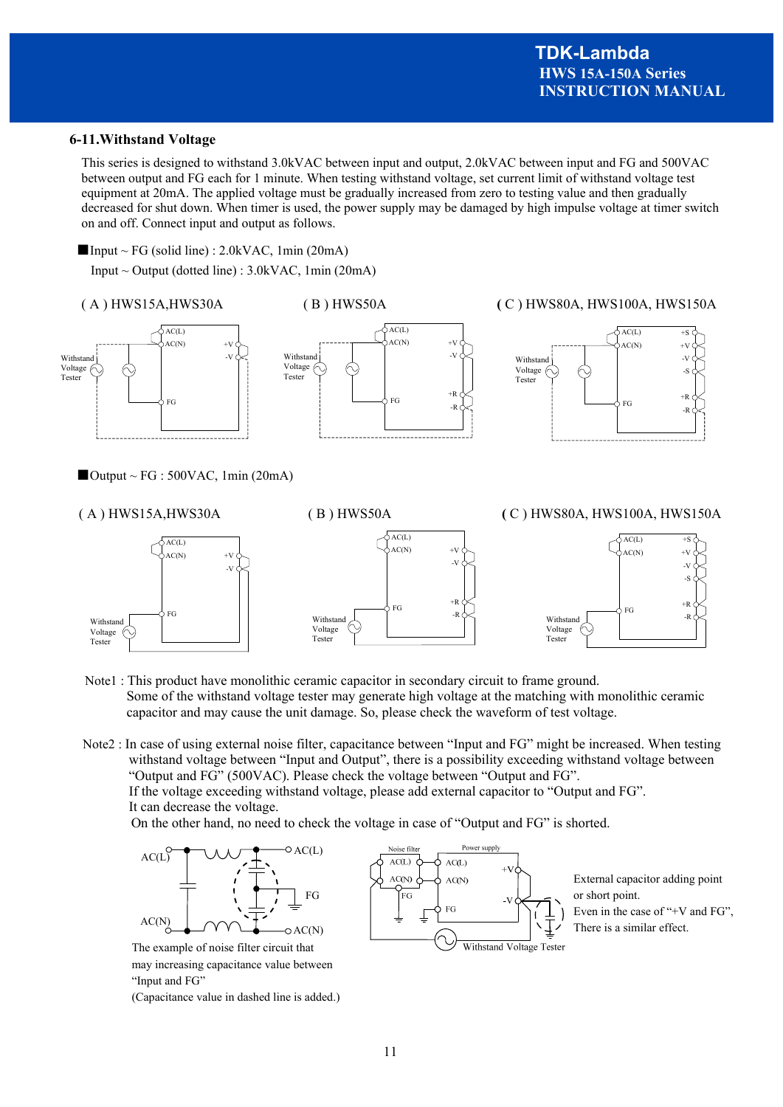#### **6-11.Withstand Voltage**

This series is designed to withstand 3.0kVAC between input and output, 2.0kVAC between input and FG and 500VAC between output and FG each for 1 minute. When testing withstand voltage, set current limit of withstand voltage test equipment at 20mA. The applied voltage must be gradually increased from zero to testing value and then gradually decreased for shut down. When timer is used, the power supply may be damaged by high impulse voltage at timer switch on and off. Connect input and output as follows.

 $\blacksquare$  Input ~ FG (solid line) : 2.0kVAC, 1min (20mA)

Input  $\sim$  Output (dotted line) : 3.0kVAC, 1min (20mA)

( A ) HWS15A,HWS30A ( B ) HWS50A **(** C ) HWS80A, HWS100A, HWS150A

![](_page_13_Figure_6.jpeg)

![](_page_13_Figure_7.jpeg)

 $AC(L)$  $+$ S

![](_page_13_Figure_9.jpeg)

 $\blacksquare$  Output ~ FG : 500VAC, 1min (20mA)

![](_page_13_Figure_11.jpeg)

- Note1 : This product have monolithic ceramic capacitor in secondary circuit to frame ground. Some of the withstand voltage tester may generate high voltage at the matching with monolithic ceramic capacitor and may cause the unit damage. So, please check the waveform of test voltage.
- Note2 : In case of using external noise filter, capacitance between "Input and FG" might be increased. When testing withstand voltage between "Input and Output", there is a possibility exceeding withstand voltage between "Output and FG" (500VAC). Please check the voltage between "Output and FG". If the voltage exceeding withstand voltage, please add external capacitor to "Output and FG". It can decrease the voltage.

On the other hand, no need to check the voltage in case of "Output and FG" is shorted.

![](_page_13_Figure_15.jpeg)

![](_page_13_Figure_16.jpeg)

External capacitor adding point or short point. Even in the case of "+V and FG", There is a similar effect.

The example of noise filter circuit that may increasing capacitance value between "Input and FG"

(Capacitance value in dashed line is added.)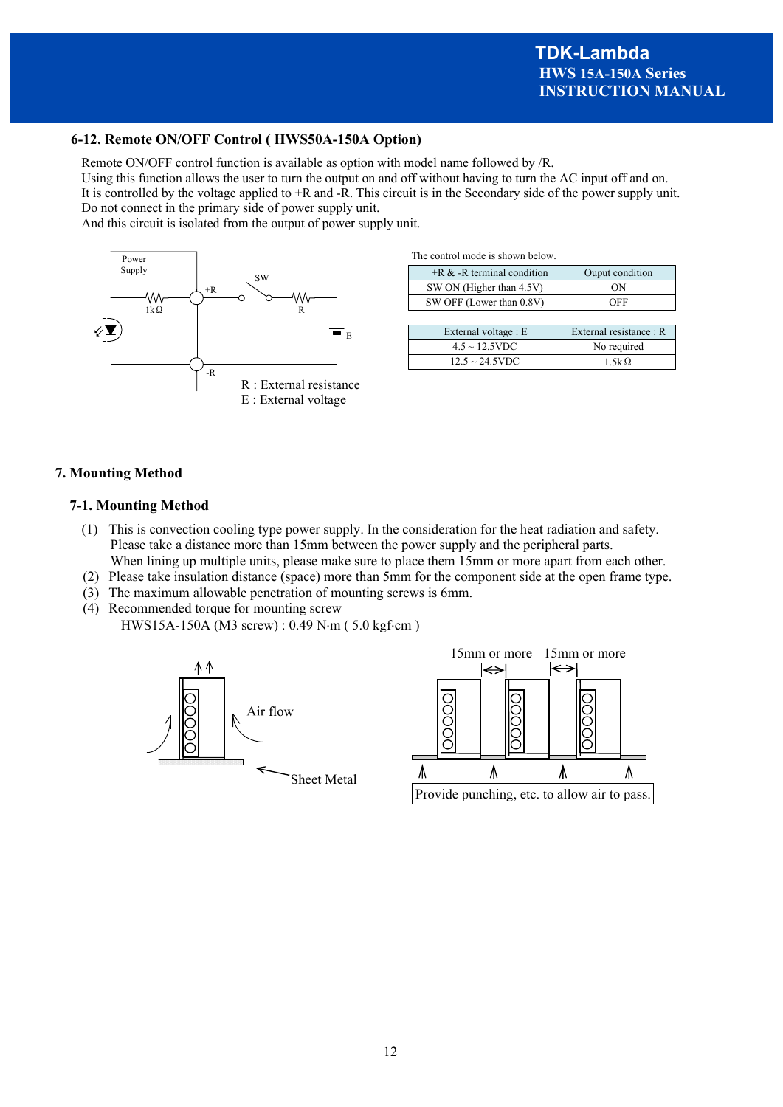#### **6-12. Remote ON/OFF Control ( HWS50A-150A Option)**

Remote ON/OFF control function is available as option with model name followed by /R.

Using this function allows the user to turn the output on and off without having to turn the AC input off and on. It is controlled by the voltage applied to +R and -R. This circuit is in the Secondary side of the power supply unit. Do not connect in the primary side of power supply unit.

And this circuit is isolated from the output of power supply unit.

![](_page_14_Figure_5.jpeg)

| The control mode is shown below. |  |  |  |  |  |
|----------------------------------|--|--|--|--|--|
|----------------------------------|--|--|--|--|--|

| $+R &$ -R terminal condition | Ouput condition |
|------------------------------|-----------------|
| SW ON (Higher than 4.5V)     | ΩN              |
| SW OFF (Lower than 0.8V)     | OFF             |

| External voltage : E | External resistance: R |
|----------------------|------------------------|
| $4.5 \sim 12.5$ VDC  | No required            |
| $12.5 \sim 24.5$ VDC | 1.5k $\Omega$          |

#### **7. Mounting Method**

#### **7-1. Mounting Method**

- (1) This is convection cooling type power supply. In the consideration for the heat radiation and safety. Please take a distance more than 15mm between the power supply and the peripheral parts. When lining up multiple units, please make sure to place them 15mm or more apart from each other.
- (2) Please take insulation distance (space) more than 5mm for the component side at the open frame type.
- (3) The maximum allowable penetration of mounting screws is 6mm.
- (4) Recommended torque for mounting screw HWS15A-150A (M3 screw) : 0.49 N·m (5.0 kgf·cm)

![](_page_14_Figure_15.jpeg)

![](_page_14_Figure_16.jpeg)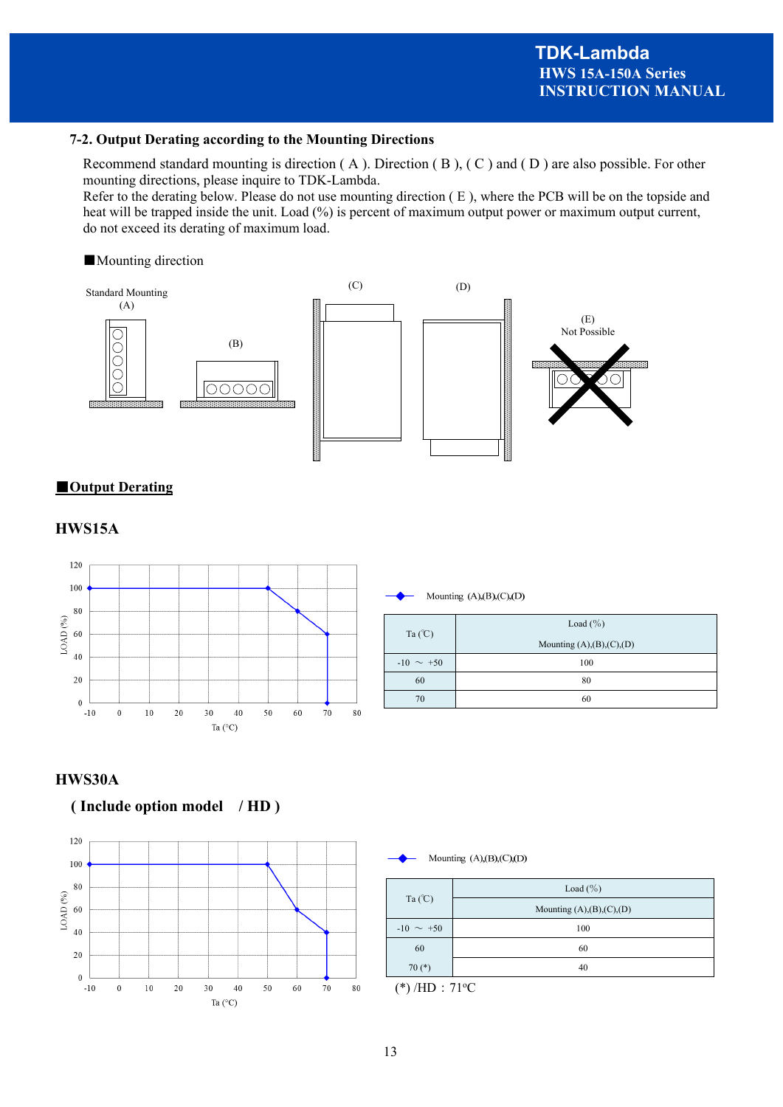#### **7-2. Output Derating according to the Mounting Directions**

Recommend standard mounting is direction ( A ). Direction ( B ), ( C ) and ( D ) are also possible. For other mounting directions, please inquire to TDK-Lambda.

Refer to the derating below. Please do not use mounting direction ( E ), where the PCB will be on the topside and heat will be trapped inside the unit. Load (%) is percent of maximum output power or maximum output current, do not exceed its derating of maximum load.

#### ■Mounting direction

![](_page_15_Figure_5.jpeg)

#### ■**Output Derating**

### **HWS15A**

![](_page_15_Figure_8.jpeg)

Mounting  $(A),(B),(C),(D)$ 

| Ta $(C)$       | Load $(\% )$               |
|----------------|----------------------------|
|                | Mounting $(A),(B),(C),(D)$ |
| $-10 \sim +50$ | 100                        |
| 60             | 80                         |
| 70             | 60                         |

#### **HWS30A**

# **( Include option model / HD )**

![](_page_15_Figure_13.jpeg)

Mounting  $(A),(B),(C),(D)$ 

| Ta $(C)$       | Load $(\% )$               |
|----------------|----------------------------|
|                | Mounting $(A),(B),(C),(D)$ |
| $-10 \sim +50$ | 100                        |
| 60             | 60                         |
| $70(*)$        | 40                         |
| $\cdots$       | ___                        |

 $(*)$ /HD:71°C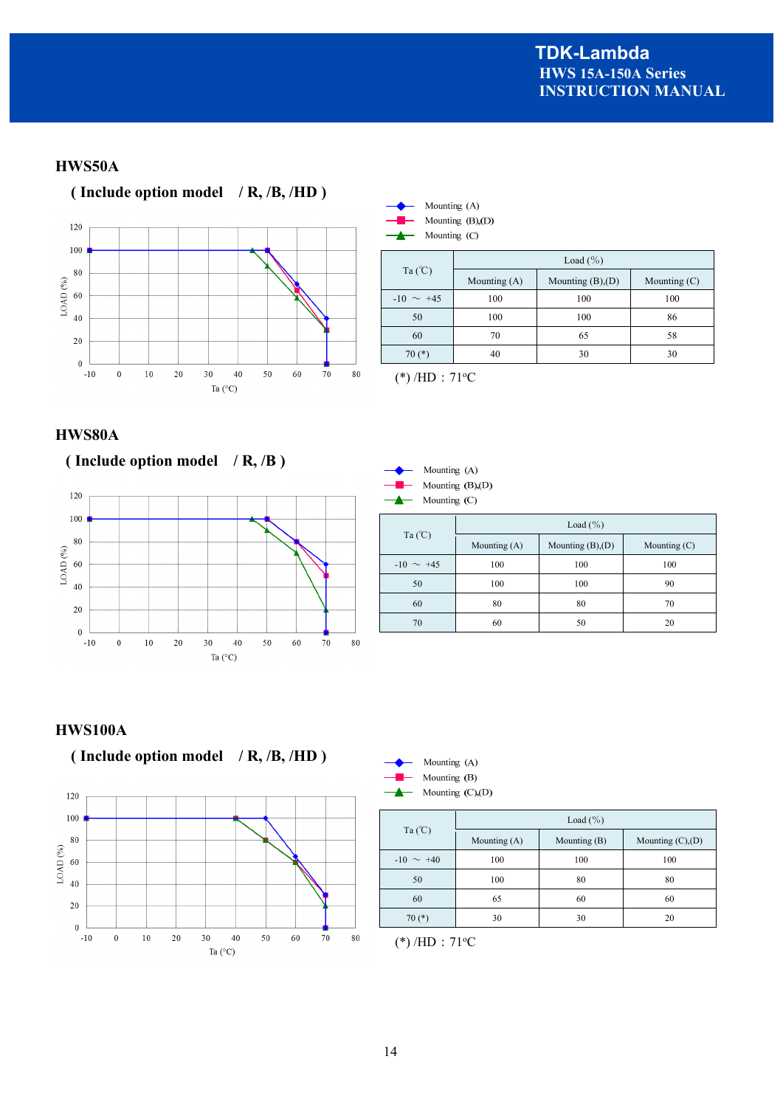# **HWS50A**

![](_page_16_Figure_2.jpeg)

![](_page_16_Picture_3.jpeg)

Mounting (C)

|                | Load $(\% )$   |                        |                |  |
|----------------|----------------|------------------------|----------------|--|
| Ta $(C)$       | Mounting $(A)$ | Mounting $(B)$ , $(D)$ | Mounting $(C)$ |  |
| $-10 \sim +45$ | 100            | 100                    | 100            |  |
| 50             | 100            | 100                    | 86             |  |
| 60             | 70             | 65                     | 58             |  |
| $70(*)$        | 40             | 30                     | 30             |  |

 $(*)$ /HD:71°C

# **HWS80A**

![](_page_16_Figure_8.jpeg)

![](_page_16_Figure_9.jpeg)

| Mounting (A)      |
|-------------------|
| Mounting $(B)(D)$ |
| Mounting (C)      |

| Ta $(C)$       | Load $(\% )$ |                        |                |  |
|----------------|--------------|------------------------|----------------|--|
|                | Mounting (A) | Mounting $(B)$ , $(D)$ | Mounting $(C)$ |  |
| $-10 \sim +45$ | 100          | 100                    | 100            |  |
| 50             | 100          | 100                    | 90             |  |
| 60             | 80           | 80                     | 70             |  |
| 70             | 60           | 50                     | 20             |  |

# **HWS100A**

![](_page_16_Figure_13.jpeg)

![](_page_16_Figure_14.jpeg)

| Ta $(C)$       | Load $(\% )$ |              |                        |  |  |
|----------------|--------------|--------------|------------------------|--|--|
|                | Mounting (A) | Mounting (B) | Mounting $(C)$ , $(D)$ |  |  |
| $-10 \sim +40$ | 100          | 100          | 100                    |  |  |
| 50             | 100          | 80           | 80                     |  |  |
| 60             | 65           | 60           | 60                     |  |  |
| $70(*)$        | 30           | 30           | 20                     |  |  |

 $(*)$ /HD:71°C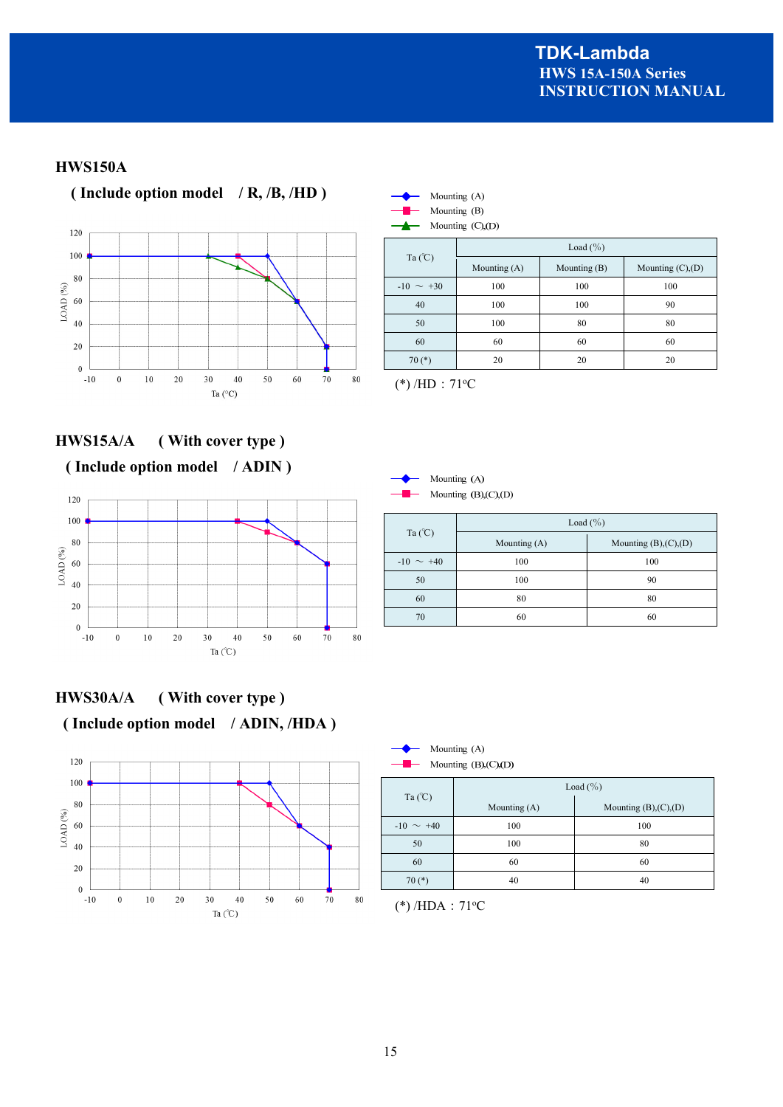# **HWS150A**

![](_page_17_Figure_2.jpeg)

![](_page_17_Picture_3.jpeg)

Ta (℃) Load  $(\% )$ Mounting (A) Mounting (B) Mounting (C),(D)  $-10 \sim +30$  100 100 100 100 40 100 100 90 50 100 80 80 60 60 60 60 70 (\*) 20 20 20

 $(*)$ /HD: 71°C

Mounting (A)

# **HWS15A/A ( With cover type )**

# **( Include option model / ADIN )**

![](_page_17_Figure_8.jpeg)

# **HWS30A/A ( With cover type ) ( Include option model / ADIN, /HDA )**

![](_page_17_Figure_10.jpeg)

| $-$ 0 $-$      | Mounting $(B)(C)(D)$ |                        |
|----------------|----------------------|------------------------|
|                |                      | Load $(\% )$           |
| Ta $(C)$       | Mounting (A)         | Mounting $(B),(C),(D)$ |
| $-10 \sim +40$ | 100                  | 100                    |
| 50             | 100                  | 90                     |
| 60             | 80                   | 80                     |

70 60 60

![](_page_17_Picture_12.jpeg)

|                | Load $(\% )$   |                        |  |  |  |
|----------------|----------------|------------------------|--|--|--|
| Ta $(C)$       | Mounting $(A)$ | Mounting $(B),(C),(D)$ |  |  |  |
| $-10 \sim +40$ | 100            | 100                    |  |  |  |
| 50             | 100            | 80                     |  |  |  |
| 60             | 60             | 60                     |  |  |  |
| $70(*)$        | 40             | 40                     |  |  |  |

![](_page_17_Figure_14.jpeg)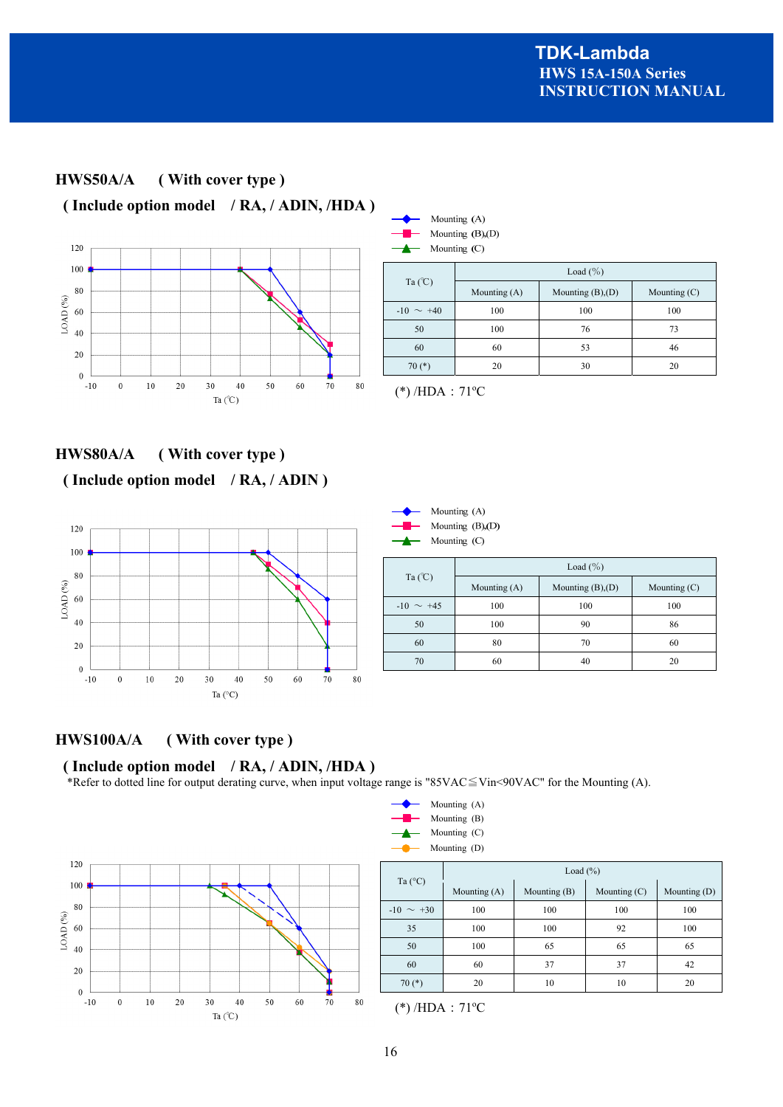![](_page_18_Figure_1.jpeg)

![](_page_18_Figure_2.jpeg)

|                | Load $(\% )$   |                        |                |  |  |
|----------------|----------------|------------------------|----------------|--|--|
| Ta $(C)$       | Mounting $(A)$ | Mounting $(B)$ , $(D)$ | Mounting $(C)$ |  |  |
| $-10 \sim +40$ | 100            | 100                    | 100            |  |  |
| 50             | 100            | 76                     | 73             |  |  |
| 60             | 60             | 53                     | 46             |  |  |
| $70(*)$        | 20             | 30                     | 20             |  |  |

 $(*)$ /HDA: 71°C

**HWS80A/A ( With cover type ) ( Include option model / RA, / ADIN )**

![](_page_18_Figure_6.jpeg)

![](_page_18_Figure_7.jpeg)

| Ta $(C)$       | Load $(\% )$   |                        |                |  |  |
|----------------|----------------|------------------------|----------------|--|--|
|                | Mounting $(A)$ | Mounting $(B)$ , $(D)$ | Mounting $(C)$ |  |  |
| $-10 \sim +45$ | 100            | 100                    | 100            |  |  |
| 50             | 100            | 90                     | 86             |  |  |
| 60             | 80             | 70                     | 60             |  |  |
| 70             | 60             | 40                     | 20             |  |  |

# **HWS100A/A ( With cover type )**

# **( Include option model / RA, / ADIN, /HDA )**

\*Refer to dotted line for output derating curve, when input voltage range is "85VAC≦Vin<90VAC" for the Mounting (A).

![](_page_18_Figure_12.jpeg)

| Mounting (A) |
|--------------|
| Mounting (B) |
| Mounting (C) |
| Mounting (D) |

|                  | Load $(\%)$                      |     |                |                |  |
|------------------|----------------------------------|-----|----------------|----------------|--|
| Ta $(^{\circ}C)$ | Mounting $(B)$<br>Mounting $(A)$ |     | Mounting $(C)$ | Mounting $(D)$ |  |
| $-10 \sim +30$   | 100                              | 100 | 100            | 100            |  |
| 35               | 100                              | 100 | 92             | 100            |  |
| 50               | 100                              | 65  | 65             | 65             |  |
| 60               | 60                               | 37  | 37             | 42             |  |
| $70(*)$          | 20                               | 10  | 10             | 20             |  |

 $(*)$ /HDA: 71°C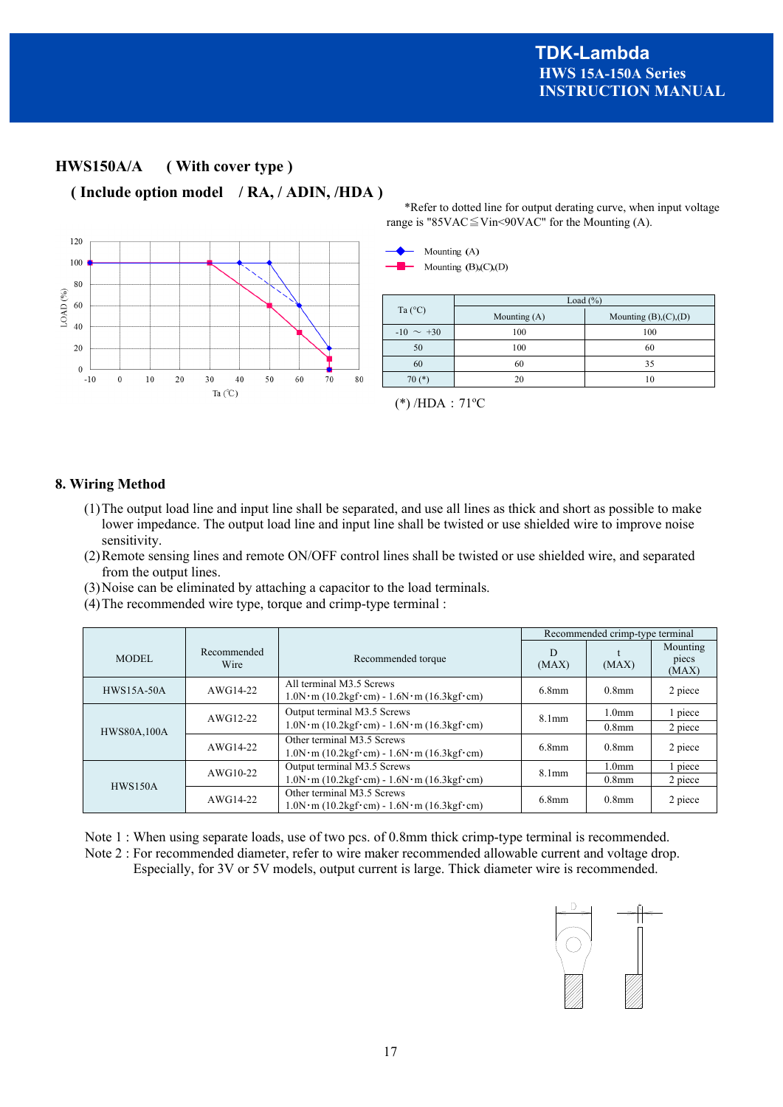\*Refer to dotted line for output derating curve, when input voltage

# **HWS150A/A ( With cover type )**

 **( Include option model / RA, / ADIN, /HDA )** 

![](_page_19_Figure_3.jpeg)

#### **8. Wiring Method**

- (1)The output load line and input line shall be separated, and use all lines as thick and short as possible to make lower impedance. The output load line and input line shall be twisted or use shielded wire to improve noise sensitivity.
- (2)Remote sensing lines and remote ON/OFF control lines shall be twisted or use shielded wire, and separated from the output lines.
- (3)Noise can be eliminated by attaching a capacitor to the load terminals.
- (4)The recommended wire type, torque and crimp-type terminal :

|                    |                     |                                                                                                         | Recommended crimp-type terminal |                               |                            |
|--------------------|---------------------|---------------------------------------------------------------------------------------------------------|---------------------------------|-------------------------------|----------------------------|
| <b>MODEL</b>       | Recommended<br>Wire | Recommended torque                                                                                      | D<br>(MAX)                      | (MAX)                         | Mounting<br>piecs<br>(MAX) |
| <b>HWS15A-50A</b>  | AWG14-22            | All terminal M3.5 Screws<br>$1.0N \cdot m$ (10.2kgf·cm) - $1.6N \cdot m$ (16.3kgf·cm)                   | $6.8$ mm                        | $0.8$ mm                      | 2 piece                    |
| AWG12-22           |                     | Output terminal M3.5 Screws<br>$1.0N \cdot m$ (10.2kgf·cm) - $1.6N \cdot m$ (16.3kgf·cm)                | 8.1 <sub>mm</sub>               | 1.0 <sub>mm</sub><br>$0.8$ mm | 1 piece<br>2 piece         |
| <b>HWS80A.100A</b> | AWG14-22            | Other terminal M3.5 Screws<br>$1.0N \cdot m$ (10.2kgf·cm) - $1.6N \cdot m$ (16.3kgf·cm)                 | $6.8$ mm                        | $0.8$ mm                      | 2 piece                    |
|                    | $AWG10-22$          | Output terminal M3.5 Screws                                                                             | 8.1 <sub>mm</sub>               | 1.0 <sub>mm</sub>             | l piece                    |
| HWS150A            |                     | $1.0N \cdot m (10.2kgf \cdot cm) - 1.6N \cdot m (16.3kgf \cdot cm)$                                     |                                 | $0.8$ mm                      | 2 piece                    |
|                    | AWG14-22            | Other terminal M3.5 Screws<br>$1.0N \cdot m$ (10.2kgf $\cdot$ cm) - $1.6N \cdot m$ (16.3kgf $\cdot$ cm) | $6.8$ mm                        | $0.8$ mm                      | 2 piece                    |

Note 1 : When using separate loads, use of two pcs. of 0.8mm thick crimp-type terminal is recommended. Note 2 : For recommended diameter, refer to wire maker recommended allowable current and voltage drop. Especially, for 3V or 5V models, output current is large. Thick diameter wire is recommended.

![](_page_19_Figure_11.jpeg)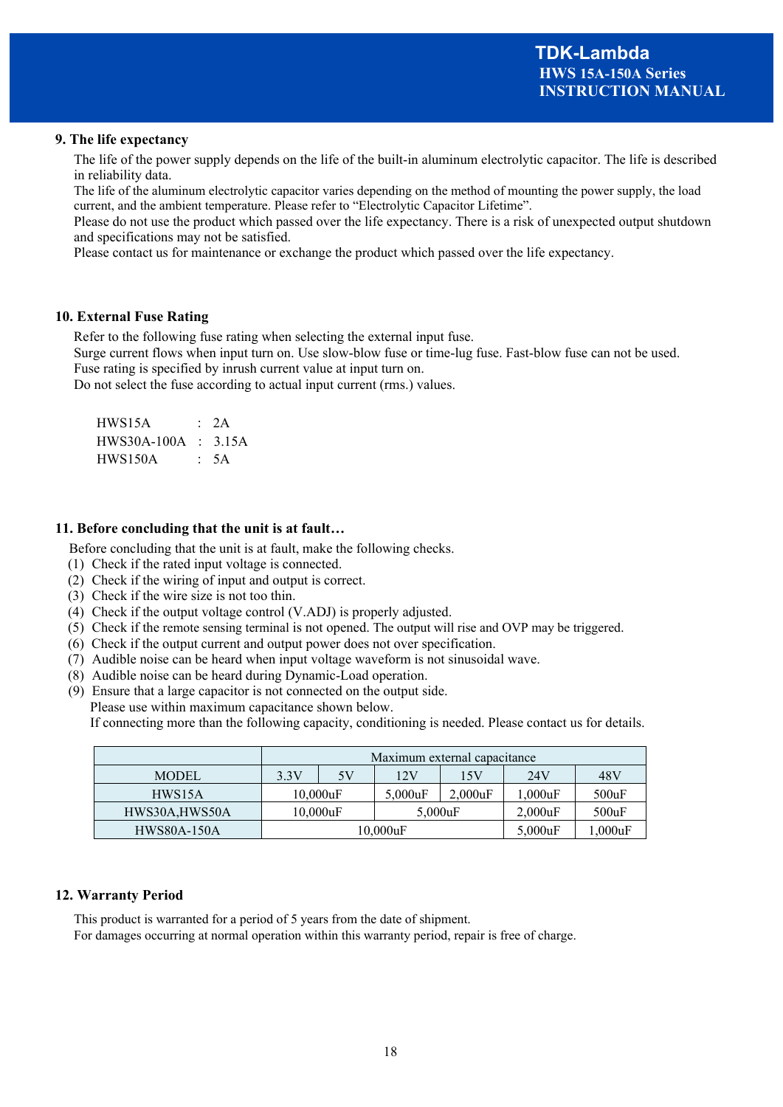#### **9. The life expectancy**

The life of the power supply depends on the life of the built-in aluminum electrolytic capacitor. The life is described in reliability data.

The life of the aluminum electrolytic capacitor varies depending on the method of mounting the power supply, the load current, and the ambient temperature. Please refer to "Electrolytic Capacitor Lifetime".

Please do not use the product which passed over the life expectancy. There is a risk of unexpected output shutdown and specifications may not be satisfied.

Please contact us for maintenance or exchange the product which passed over the life expectancy.

#### **10. External Fuse Rating**

Refer to the following fuse rating when selecting the external input fuse.

Surge current flows when input turn on. Use slow-blow fuse or time-lug fuse. Fast-blow fuse can not be used. Fuse rating is specified by inrush current value at input turn on.

Do not select the fuse according to actual input current (rms.) values.

| HWS15A                | : 2A |
|-----------------------|------|
| $HWS30A-100A : 3.15A$ |      |
| HWS150A               | : 5A |

#### **11. Before concluding that the unit is at fault…**

Before concluding that the unit is at fault, make the following checks.

- (1) Check if the rated input voltage is connected.
- (2) Check if the wiring of input and output is correct.
- (3) Check if the wire size is not too thin.
- (4) Check if the output voltage control (V.ADJ) is properly adjusted.
- (5) Check if the remote sensing terminal is not opened. The output will rise and OVP may be triggered.
- (6) Check if the output current and output power does not over specification.
- (7) Audible noise can be heard when input voltage waveform is not sinusoidal wave.
- (8) Audible noise can be heard during Dynamic-Load operation.
- (9) Ensure that a large capacitor is not connected on the output side.

Please use within maximum capacitance shown below.

If connecting more than the following capacity, conditioning is needed. Please contact us for details.

|                    | Maximum external capacitance           |  |            |            |            |       |
|--------------------|----------------------------------------|--|------------|------------|------------|-------|
| <b>MODEL</b>       | 24V<br>48V<br>3.3V<br>5V<br>12V<br>15V |  |            |            |            |       |
| HWS15A             | $10,000$ uF                            |  | $5,000$ uF | 2.000uF    | .000uF     | 500uF |
| HWS30A, HWS50A     | $10,000$ uF                            |  | $5,000$ uF |            | $2,000$ uF | 500uF |
| <b>HWS80A-150A</b> | $10.000$ uF                            |  |            | $5,000$ uF | .000uF     |       |

#### **12. Warranty Period**

This product is warranted for a period of 5 years from the date of shipment.

For damages occurring at normal operation within this warranty period, repair is free of charge.